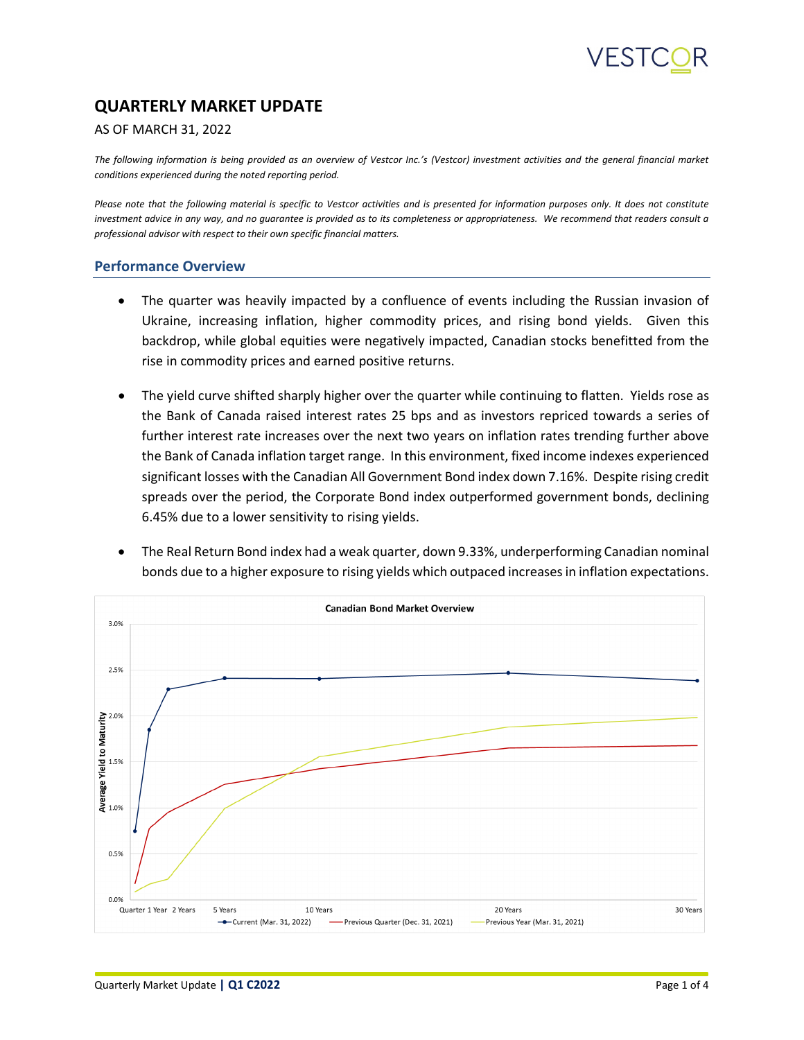### **QUARTERLY MARKET UPDATE**

#### AS OF MARCH 31, 2022

*The following information is being provided as an overview of Vestcor Inc.'s (Vestcor) investment activities and the general financial market conditions experienced during the noted reporting period.*

Please note that the following material is specific to Vestcor activities and is presented for information purposes only. It does not constitute *investment advice in any way, and no guarantee is provided as to its completeness or appropriateness. We recommend that readers consult a professional advisor with respect to their own specific financial matters.*

#### **Performance Overview**

- The quarter was heavily impacted by a confluence of events including the Russian invasion of Ukraine, increasing inflation, higher commodity prices, and rising bond yields. Given this backdrop, while global equities were negatively impacted, Canadian stocks benefitted from the rise in commodity prices and earned positive returns.
- The yield curve shifted sharply higher over the quarter while continuing to flatten. Yields rose as the Bank of Canada raised interest rates 25 bps and as investors repriced towards a series of further interest rate increases over the next two years on inflation rates trending further above the Bank of Canada inflation target range. In this environment, fixed income indexes experienced significant losses with the Canadian All Government Bond index down 7.16%. Despite rising credit spreads over the period, the Corporate Bond index outperformed government bonds, declining 6.45% due to a lower sensitivity to rising yields.
- The Real Return Bond index had a weak quarter, down 9.33%, underperforming Canadian nominal bonds due to a higher exposure to rising yields which outpaced increases in inflation expectations.

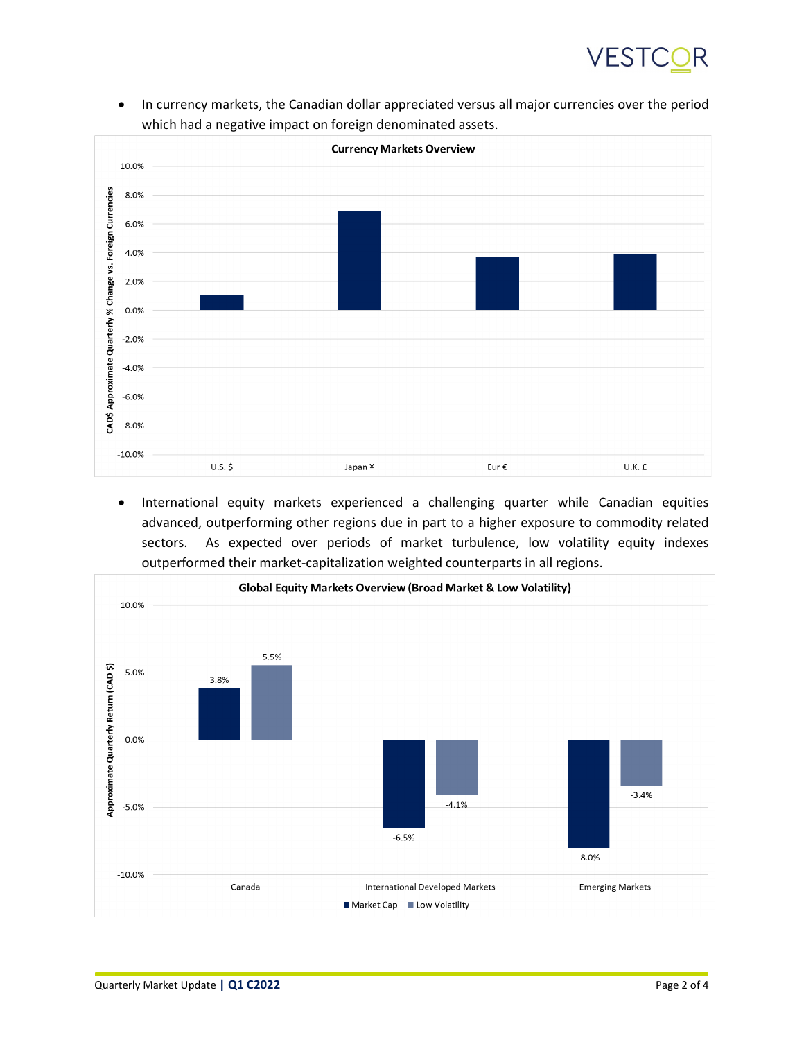## VEST

• In currency markets, the Canadian dollar appreciated versus all major currencies over the period which had a negative impact on foreign denominated assets.



• International equity markets experienced a challenging quarter while Canadian equities advanced, outperforming other regions due in part to a higher exposure to commodity related sectors. As expected over periods of market turbulence, low volatility equity indexes outperformed their market-capitalization weighted counterparts in all regions.

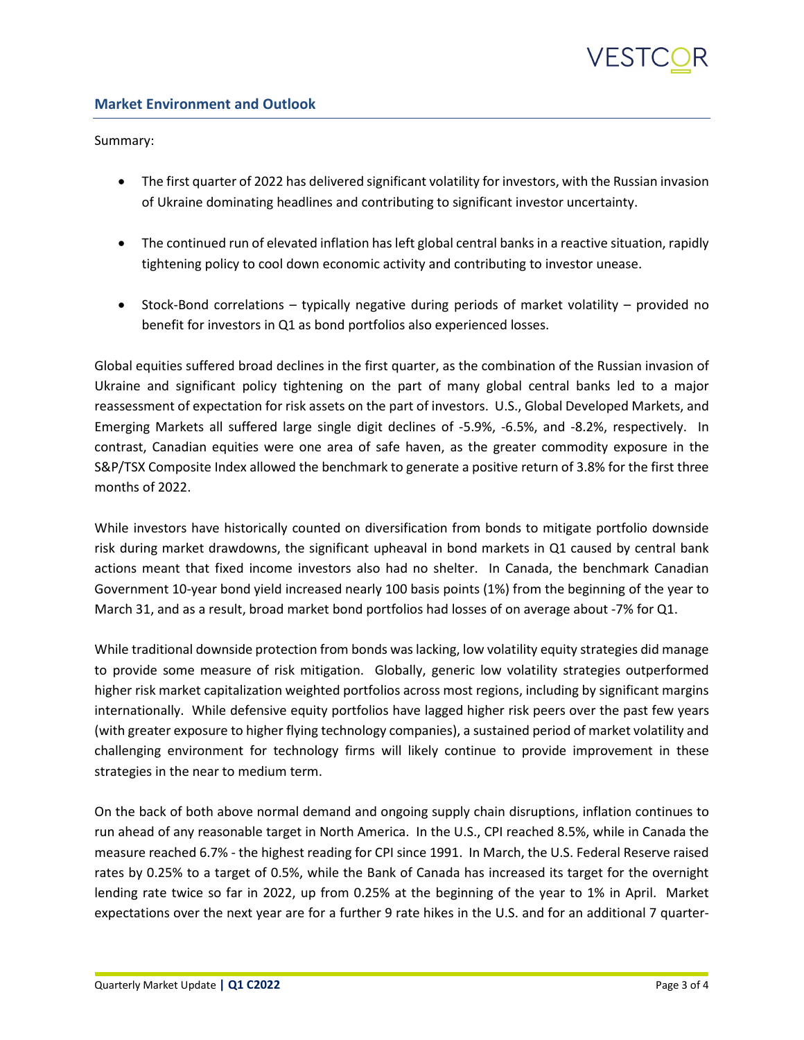# VESIO

### **Market Environment and Outlook**

Summary:

- The first quarter of 2022 has delivered significant volatility for investors, with the Russian invasion of Ukraine dominating headlines and contributing to significant investor uncertainty.
- The continued run of elevated inflation has left global central banks in a reactive situation, rapidly tightening policy to cool down economic activity and contributing to investor unease.
- Stock-Bond correlations typically negative during periods of market volatility provided no benefit for investors in Q1 as bond portfolios also experienced losses.

Global equities suffered broad declines in the first quarter, as the combination of the Russian invasion of Ukraine and significant policy tightening on the part of many global central banks led to a major reassessment of expectation for risk assets on the part of investors. U.S., Global Developed Markets, and Emerging Markets all suffered large single digit declines of -5.9%, -6.5%, and -8.2%, respectively. In contrast, Canadian equities were one area of safe haven, as the greater commodity exposure in the S&P/TSX Composite Index allowed the benchmark to generate a positive return of 3.8% for the first three months of 2022.

While investors have historically counted on diversification from bonds to mitigate portfolio downside risk during market drawdowns, the significant upheaval in bond markets in Q1 caused by central bank actions meant that fixed income investors also had no shelter. In Canada, the benchmark Canadian Government 10-year bond yield increased nearly 100 basis points (1%) from the beginning of the year to March 31, and as a result, broad market bond portfolios had losses of on average about -7% for Q1.

While traditional downside protection from bonds was lacking, low volatility equity strategies did manage to provide some measure of risk mitigation. Globally, generic low volatility strategies outperformed higher risk market capitalization weighted portfolios across most regions, including by significant margins internationally. While defensive equity portfolios have lagged higher risk peers over the past few years (with greater exposure to higher flying technology companies), a sustained period of market volatility and challenging environment for technology firms will likely continue to provide improvement in these strategies in the near to medium term.

On the back of both above normal demand and ongoing supply chain disruptions, inflation continues to run ahead of any reasonable target in North America. In the U.S., CPI reached 8.5%, while in Canada the measure reached 6.7% - the highest reading for CPI since 1991. In March, the U.S. Federal Reserve raised rates by 0.25% to a target of 0.5%, while the Bank of Canada has increased its target for the overnight lending rate twice so far in 2022, up from 0.25% at the beginning of the year to 1% in April. Market expectations over the next year are for a further 9 rate hikes in the U.S. and for an additional 7 quarter-